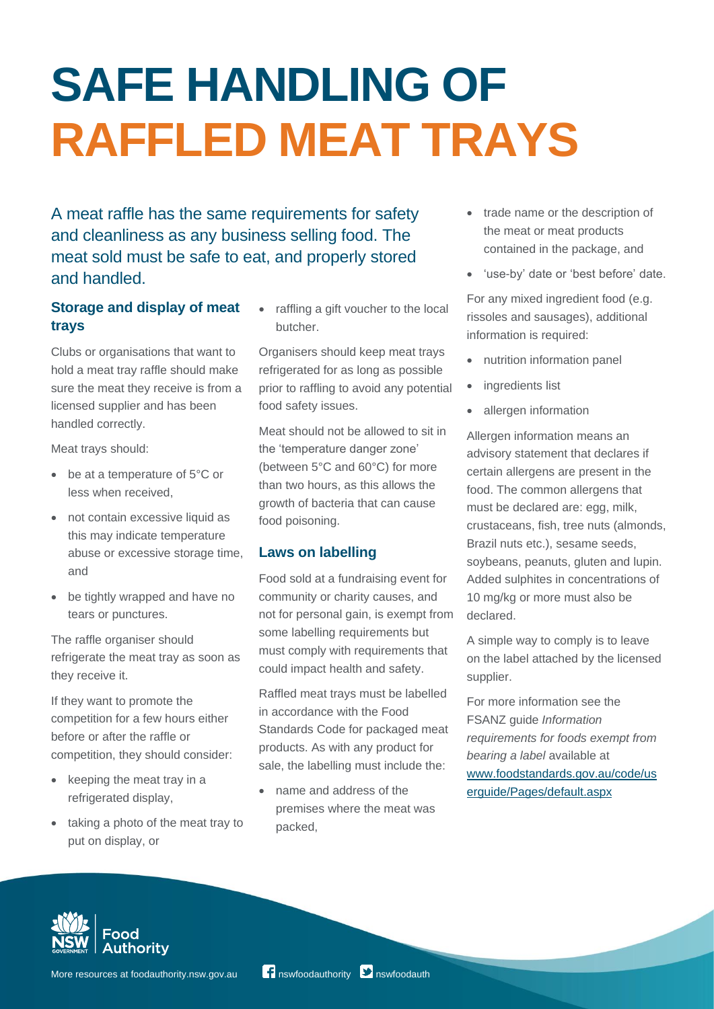## **SAFE HANDLING OF RAFFLED MEAT TRAYS**

A meat raffle has the same requirements for safety and cleanliness as any business selling food. The meat sold must be safe to eat, and properly stored and handled.

## **Storage and display of meat trays**

Clubs or organisations that want to hold a meat tray raffle should make sure the meat they receive is from a licensed supplier and has been handled correctly.

Meat trays should:

- be at a temperature of 5°C or less when received,
- not contain excessive liquid as this may indicate temperature abuse or excessive storage time, and
- be tightly wrapped and have no tears or punctures.

The raffle organiser should refrigerate the meat tray as soon as they receive it.

If they want to promote the competition for a few hours either before or after the raffle or competition, they should consider:

- keeping the meat tray in a refrigerated display,
- taking a photo of the meat tray to put on display, or

• raffling a gift voucher to the local butcher.

Organisers should keep meat trays refrigerated for as long as possible prior to raffling to avoid any potential food safety issues.

Meat should not be allowed to sit in the 'temperature danger zone' (between 5°C and 60°C) for more than two hours, as this allows the growth of bacteria that can cause food poisoning.

## **Laws on labelling**

Food sold at a fundraising event for community or charity causes, and not for personal gain, is exempt from some labelling requirements but must comply with requirements that could impact health and safety.

Raffled meat trays must be labelled in accordance with the Food Standards Code for packaged meat products. As with any product for sale, the labelling must include the:

• name and address of the premises where the meat was packed,

- trade name or the description of the meat or meat products contained in the package, and
- 'use-by' date or 'best before' date.

For any mixed ingredient food (e.g. rissoles and sausages), additional information is required:

- nutrition information panel
- ingredients list
- allergen information

Allergen information means an advisory statement that declares if certain allergens are present in the food. The common allergens that must be declared are: egg, milk, crustaceans, fish, tree nuts (almonds, Brazil nuts etc.), sesame seeds, soybeans, peanuts, gluten and lupin. Added sulphites in concentrations of 10 mg/kg or more must also be declared.

A simple way to comply is to leave on the label attached by the licensed supplier.

For more information see the FSANZ guide *Information requirements for foods exempt from bearing a label* available at [www.foodstandards.gov.au/code/us](http://www.foodstandards.gov.au/code/userguide/Pages/default.aspx) [erguide/Pages/default.aspx](http://www.foodstandards.gov.au/code/userguide/Pages/default.aspx)